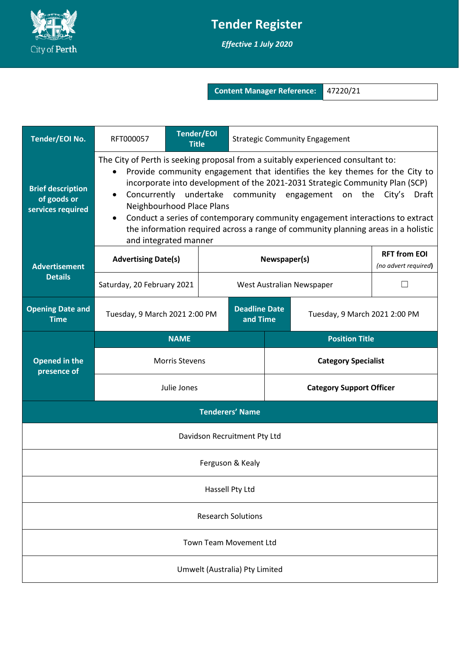

## **Tender Register**

*Effective 1 July 2020*

**Content Manager Reference:** 47220/21

| Tender/EOI No.                                               | RFT000057                                                                                                                                                                                                                                                                                                                                                                                                                                                                                                                                            | <b>Tender/EOI</b><br><b>Title</b> |                                  |                                 | <b>Strategic Community Engagement</b> |  |                                             |
|--------------------------------------------------------------|------------------------------------------------------------------------------------------------------------------------------------------------------------------------------------------------------------------------------------------------------------------------------------------------------------------------------------------------------------------------------------------------------------------------------------------------------------------------------------------------------------------------------------------------------|-----------------------------------|----------------------------------|---------------------------------|---------------------------------------|--|---------------------------------------------|
| <b>Brief description</b><br>of goods or<br>services required | The City of Perth is seeking proposal from a suitably experienced consultant to:<br>Provide community engagement that identifies the key themes for the City to<br>incorporate into development of the 2021-2031 Strategic Community Plan (SCP)<br>Concurrently undertake community engagement on the<br>City's<br>Draft<br>Neighbourhood Place Plans<br>Conduct a series of contemporary community engagement interactions to extract<br>the information required across a range of community planning areas in a holistic<br>and integrated manner |                                   |                                  |                                 |                                       |  |                                             |
| <b>Advertisement</b><br><b>Details</b>                       | <b>Advertising Date(s)</b>                                                                                                                                                                                                                                                                                                                                                                                                                                                                                                                           |                                   |                                  | Newspaper(s)                    |                                       |  | <b>RFT from EOI</b><br>(no advert required) |
|                                                              | Saturday, 20 February 2021                                                                                                                                                                                                                                                                                                                                                                                                                                                                                                                           |                                   | West Australian Newspaper        |                                 | L                                     |  |                                             |
| <b>Opening Date and</b><br><b>Time</b>                       | Tuesday, 9 March 2021 2:00 PM                                                                                                                                                                                                                                                                                                                                                                                                                                                                                                                        |                                   | <b>Deadline Date</b><br>and Time | Tuesday, 9 March 2021 2:00 PM   |                                       |  |                                             |
| <b>Opened in the</b><br>presence of                          | <b>NAME</b>                                                                                                                                                                                                                                                                                                                                                                                                                                                                                                                                          |                                   |                                  | <b>Position Title</b>           |                                       |  |                                             |
|                                                              | <b>Morris Stevens</b>                                                                                                                                                                                                                                                                                                                                                                                                                                                                                                                                |                                   |                                  | <b>Category Specialist</b>      |                                       |  |                                             |
|                                                              | Julie Jones                                                                                                                                                                                                                                                                                                                                                                                                                                                                                                                                          |                                   |                                  | <b>Category Support Officer</b> |                                       |  |                                             |
| <b>Tenderers' Name</b>                                       |                                                                                                                                                                                                                                                                                                                                                                                                                                                                                                                                                      |                                   |                                  |                                 |                                       |  |                                             |
| Davidson Recruitment Pty Ltd                                 |                                                                                                                                                                                                                                                                                                                                                                                                                                                                                                                                                      |                                   |                                  |                                 |                                       |  |                                             |
| Ferguson & Kealy                                             |                                                                                                                                                                                                                                                                                                                                                                                                                                                                                                                                                      |                                   |                                  |                                 |                                       |  |                                             |
| Hassell Pty Ltd                                              |                                                                                                                                                                                                                                                                                                                                                                                                                                                                                                                                                      |                                   |                                  |                                 |                                       |  |                                             |
| <b>Research Solutions</b>                                    |                                                                                                                                                                                                                                                                                                                                                                                                                                                                                                                                                      |                                   |                                  |                                 |                                       |  |                                             |
| Town Team Movement Ltd                                       |                                                                                                                                                                                                                                                                                                                                                                                                                                                                                                                                                      |                                   |                                  |                                 |                                       |  |                                             |
| Umwelt (Australia) Pty Limited                               |                                                                                                                                                                                                                                                                                                                                                                                                                                                                                                                                                      |                                   |                                  |                                 |                                       |  |                                             |